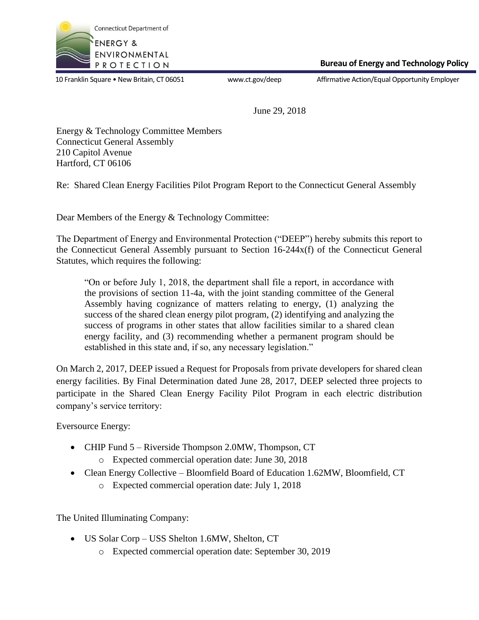

 **Bureau of Energy and Technology Policy**

10 Franklin Square • New Britain, CT 06051 www.ct.gov/deep Affirmative Action/Equal Opportunity Employer

June 29, 2018

Energy & Technology Committee Members Connecticut General Assembly 210 Capitol Avenue Hartford, CT 06106

Re: Shared Clean Energy Facilities Pilot Program Report to the Connecticut General Assembly

Dear Members of the Energy & Technology Committee:

The Department of Energy and Environmental Protection ("DEEP") hereby submits this report to the Connecticut General Assembly pursuant to Section 16-244x(f) of the Connecticut General Statutes, which requires the following:

"On or before July 1, 2018, the department shall file a report, in accordance with the provisions of section 11-4a, with the joint standing committee of the General Assembly having cognizance of matters relating to energy, (1) analyzing the success of the shared clean energy pilot program, (2) identifying and analyzing the success of programs in other states that allow facilities similar to a shared clean energy facility, and (3) recommending whether a permanent program should be established in this state and, if so, any necessary legislation."

On March 2, 2017, DEEP issued a Request for Proposals from private developers for shared clean energy facilities. By Final Determination dated June 28, 2017, DEEP selected three projects to participate in the Shared Clean Energy Facility Pilot Program in each electric distribution company's service territory:

Eversource Energy:

- CHIP Fund 5 Riverside Thompson 2.0MW, Thompson, CT
	- o Expected commercial operation date: June 30, 2018
- Clean Energy Collective Bloomfield Board of Education 1.62MW, Bloomfield, CT
	- o Expected commercial operation date: July 1, 2018

The United Illuminating Company:

- US Solar Corp USS Shelton 1.6MW, Shelton, CT
	- o Expected commercial operation date: September 30, 2019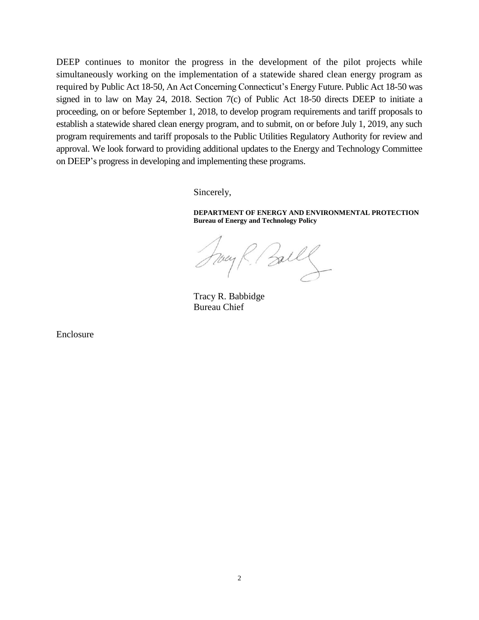DEEP continues to monitor the progress in the development of the pilot projects while simultaneously working on the implementation of a statewide shared clean energy program as required by Public Act 18-50, An Act Concerning Connecticut's Energy Future. Public Act 18-50 was signed in to law on May 24, 2018. Section 7(c) of Public Act 18-50 directs DEEP to initiate a proceeding, on or before September 1, 2018, to develop program requirements and tariff proposals to establish a statewide shared clean energy program, and to submit, on or before July 1, 2019, any such program requirements and tariff proposals to the Public Utilities Regulatory Authority for review and approval. We look forward to providing additional updates to the Energy and Technology Committee on DEEP's progress in developing and implementing these programs.

Sincerely,

**DEPARTMENT OF ENERGY AND ENVIRONMENTAL PROTECTION Bureau of Energy and Technology Policy**

Ball

Tracy R. Babbidge Bureau Chief

Enclosure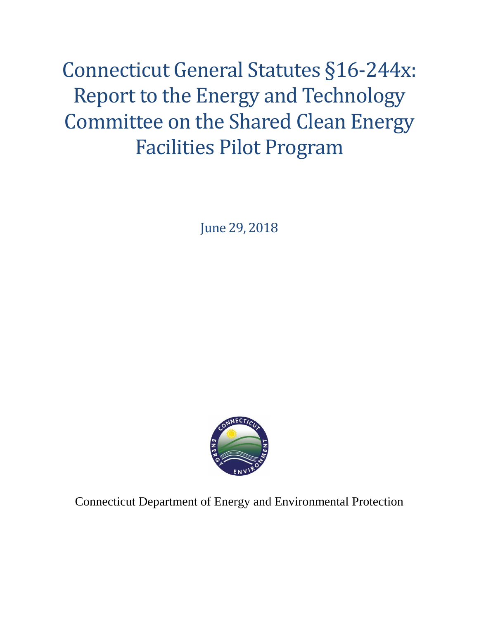Connecticut General Statutes §16-244x: Report to the Energy and Technology Committee on the Shared Clean Energy Facilities Pilot Program

June 29, 2018



Connecticut Department of Energy and Environmental Protection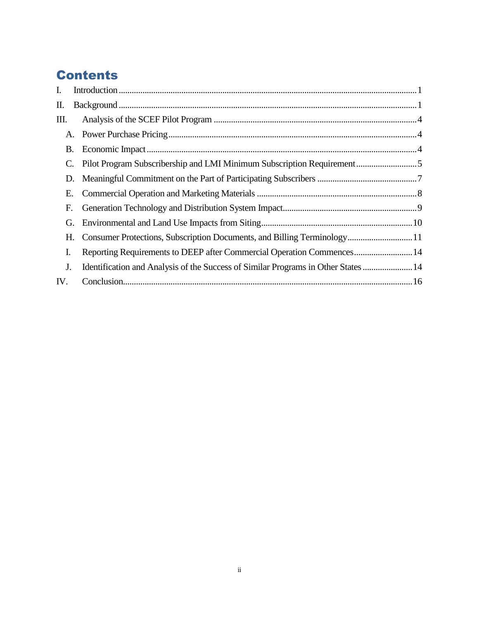# **Contents**

| I.  |                                                                                   |
|-----|-----------------------------------------------------------------------------------|
| П.  |                                                                                   |
| Ш.  |                                                                                   |
| A.  |                                                                                   |
| B.  |                                                                                   |
| C.  |                                                                                   |
| D.  |                                                                                   |
| Е.  |                                                                                   |
| F.  |                                                                                   |
| G.  |                                                                                   |
| Н.  | Consumer Protections, Subscription Documents, and Billing Terminology 11          |
| I.  | Reporting Requirements to DEEP after Commercial Operation Commences 14            |
| J.  | Identification and Analysis of the Success of Similar Programs in Other States 14 |
| IV. |                                                                                   |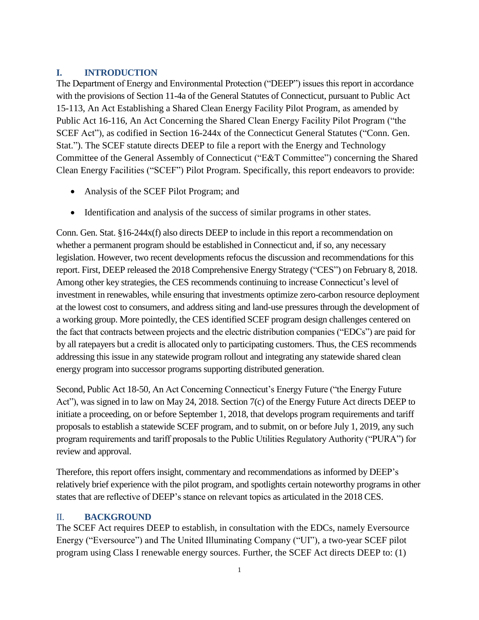### <span id="page-4-0"></span>**I. INTRODUCTION**

The Department of Energy and Environmental Protection ("DEEP") issues this report in accordance with the provisions of Section 11-4a of the General Statutes of Connecticut, pursuant to Public Act 15-113, An Act Establishing a Shared Clean Energy Facility Pilot Program, as amended by Public Act 16-116, An Act Concerning the Shared Clean Energy Facility Pilot Program ("the SCEF Act"), as codified in Section 16-244x of the Connecticut General Statutes ("Conn. Gen. Stat."). The SCEF statute directs DEEP to file a report with the Energy and Technology Committee of the General Assembly of Connecticut ("E&T Committee") concerning the Shared Clean Energy Facilities ("SCEF") Pilot Program. Specifically, this report endeavors to provide:

- Analysis of the SCEF Pilot Program; and
- Identification and analysis of the success of similar programs in other states.

Conn. Gen. Stat. §16-244x(f) also directs DEEP to include in this report a recommendation on whether a permanent program should be established in Connecticut and, if so, any necessary legislation. However, two recent developments refocus the discussion and recommendations for this report. First, DEEP released the 2018 Comprehensive Energy Strategy ("CES") on February 8, 2018. Among other key strategies, the CES recommends continuing to increase Connecticut's level of investment in renewables, while ensuring that investments optimize zero-carbon resource deployment at the lowest cost to consumers, and address siting and land-use pressures through the development of a working group. More pointedly, the CES identified SCEF program design challenges centered on the fact that contracts between projects and the electric distribution companies ("EDCs") are paid for by all ratepayers but a credit is allocated only to participating customers. Thus, the CES recommends addressing this issue in any statewide program rollout and integrating any statewide shared clean energy program into successor programs supporting distributed generation.

Second, Public Act 18-50, An Act Concerning Connecticut's Energy Future ("the Energy Future Act"), was signed in to law on May 24, 2018. Section 7(c) of the Energy Future Act directs DEEP to initiate a proceeding, on or before September 1, 2018, that develops program requirements and tariff proposals to establish a statewide SCEF program, and to submit, on or before July 1, 2019, any such program requirements and tariff proposals to the Public Utilities Regulatory Authority ("PURA") for review and approval.

Therefore, this report offers insight, commentary and recommendations as informed by DEEP's relatively brief experience with the pilot program, and spotlights certain noteworthy programs in other states that are reflective of DEEP's stance on relevant topics as articulated in the 2018 CES.

#### <span id="page-4-1"></span>II. **BACKGROUND**

The SCEF Act requires DEEP to establish, in consultation with the EDCs, namely Eversource Energy ("Eversource") and The United Illuminating Company ("UI"), a two-year SCEF pilot program using Class I renewable energy sources. Further, the SCEF Act directs DEEP to: (1)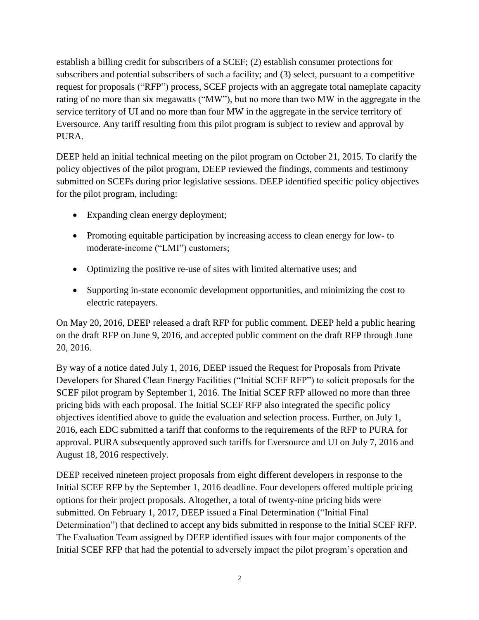establish a billing credit for subscribers of a SCEF; (2) establish consumer protections for subscribers and potential subscribers of such a facility; and (3) select, pursuant to a competitive request for proposals ("RFP") process, SCEF projects with an aggregate total nameplate capacity rating of no more than six megawatts ("MW"), but no more than two MW in the aggregate in the service territory of UI and no more than four MW in the aggregate in the service territory of Eversource. Any tariff resulting from this pilot program is subject to review and approval by PURA.

DEEP held an initial technical meeting on the pilot program on October 21, 2015. To clarify the policy objectives of the pilot program, DEEP reviewed the findings, comments and testimony submitted on SCEFs during prior legislative sessions. DEEP identified specific policy objectives for the pilot program, including:

- Expanding clean energy deployment;
- Promoting equitable participation by increasing access to clean energy for low- to moderate-income ("LMI") customers;
- Optimizing the positive re-use of sites with limited alternative uses; and
- Supporting in-state economic development opportunities, and minimizing the cost to electric ratepayers.

On May 20, 2016, DEEP released a draft RFP for public comment. DEEP held a public hearing on the draft RFP on June 9, 2016, and accepted public comment on the draft RFP through June 20, 2016.

By way of a notice dated July 1, 2016, DEEP issued the Request for Proposals from Private Developers for Shared Clean Energy Facilities ("Initial SCEF RFP") to solicit proposals for the SCEF pilot program by September 1, 2016. The Initial SCEF RFP allowed no more than three pricing bids with each proposal. The Initial SCEF RFP also integrated the specific policy objectives identified above to guide the evaluation and selection process. Further, on July 1, 2016, each EDC submitted a tariff that conforms to the requirements of the RFP to PURA for approval. PURA subsequently approved such tariffs for Eversource and UI on July 7, 2016 and August 18, 2016 respectively.

DEEP received nineteen project proposals from eight different developers in response to the Initial SCEF RFP by the September 1, 2016 deadline. Four developers offered multiple pricing options for their project proposals. Altogether, a total of twenty-nine pricing bids were submitted. On February 1, 2017, DEEP issued a Final Determination ("Initial Final Determination") that declined to accept any bids submitted in response to the Initial SCEF RFP. The Evaluation Team assigned by DEEP identified issues with four major components of the Initial SCEF RFP that had the potential to adversely impact the pilot program's operation and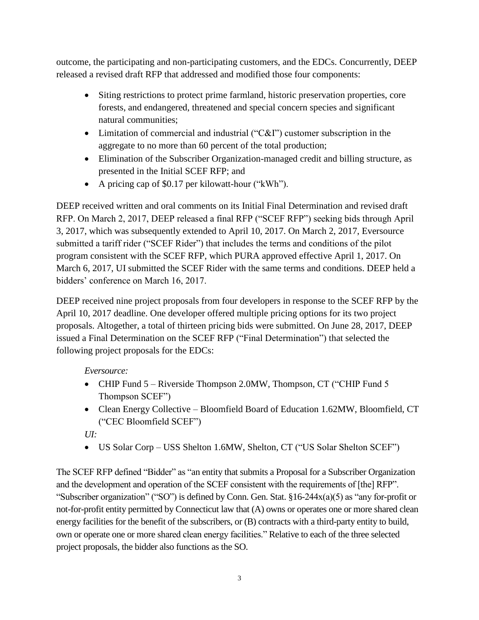outcome, the participating and non-participating customers, and the EDCs. Concurrently, DEEP released a revised draft RFP that addressed and modified those four components:

- Siting restrictions to protect prime farmland, historic preservation properties, core forests, and endangered, threatened and special concern species and significant natural communities;
- Limitation of commercial and industrial ("C&I") customer subscription in the aggregate to no more than 60 percent of the total production;
- Elimination of the Subscriber Organization-managed credit and billing structure, as presented in the Initial SCEF RFP; and
- A pricing cap of \$0.17 per kilowatt-hour ("kWh").

DEEP received written and oral comments on its Initial Final Determination and revised draft RFP. On March 2, 2017, DEEP released a final RFP ("SCEF RFP") seeking bids through April 3, 2017, which was subsequently extended to April 10, 2017. On March 2, 2017, Eversource submitted a tariff rider ("SCEF Rider") that includes the terms and conditions of the pilot program consistent with the SCEF RFP, which PURA approved effective April 1, 2017. On March 6, 2017, UI submitted the SCEF Rider with the same terms and conditions. DEEP held a bidders' conference on March 16, 2017.

DEEP received nine project proposals from four developers in response to the SCEF RFP by the April 10, 2017 deadline. One developer offered multiple pricing options for its two project proposals. Altogether, a total of thirteen pricing bids were submitted. On June 28, 2017, DEEP issued a Final Determination on the SCEF RFP ("Final Determination") that selected the following project proposals for the EDCs:

*Eversource:*

- CHIP Fund 5 Riverside Thompson 2.0MW, Thompson, CT ("CHIP Fund 5 Thompson SCEF")
- Clean Energy Collective Bloomfield Board of Education 1.62MW, Bloomfield, CT ("CEC Bloomfield SCEF")

*UI:*

US Solar Corp – USS Shelton 1.6MW, Shelton, CT ("US Solar Shelton SCEF")

The SCEF RFP defined "Bidder" as "an entity that submits a Proposal for a Subscriber Organization and the development and operation of the SCEF consistent with the requirements of [the] RFP". "Subscriber organization" ("SO") is defined by Conn. Gen. Stat. §16-244x(a)(5) as "any for-profit or not-for-profit entity permitted by Connecticut law that (A) owns or operates one or more shared clean energy facilities for the benefit of the subscribers, or (B) contracts with a third-party entity to build, own or operate one or more shared clean energy facilities." Relative to each of the three selected project proposals, the bidder also functions as the SO.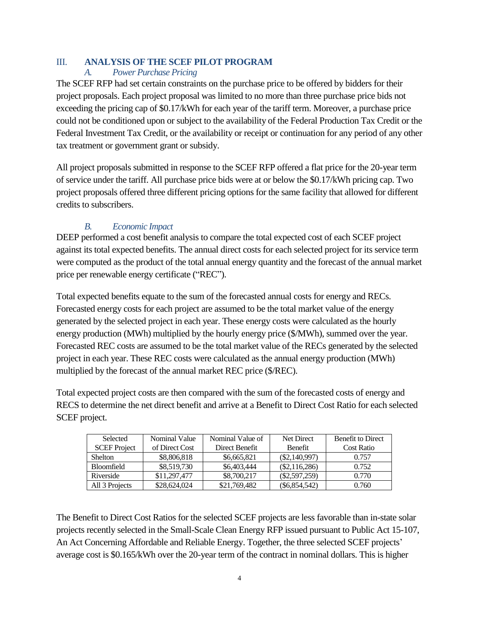### <span id="page-7-1"></span><span id="page-7-0"></span>III. **ANALYSIS OF THE SCEF PILOT PROGRAM**

### *A. Power Purchase Pricing*

The SCEF RFP had set certain constraints on the purchase price to be offered by bidders for their project proposals. Each project proposal was limited to no more than three purchase price bids not exceeding the pricing cap of \$0.17/kWh for each year of the tariff term. Moreover, a purchase price could not be conditioned upon or subject to the availability of the Federal Production Tax Credit or the Federal Investment Tax Credit, or the availability or receipt or continuation for any period of any other tax treatment or government grant or subsidy.

All project proposals submitted in response to the SCEF RFP offered a flat price for the 20-year term of service under the tariff. All purchase price bids were at or below the \$0.17/kWh pricing cap. Two project proposals offered three different pricing options for the same facility that allowed for different credits to subscribers.

# *B. Economic Impact*

<span id="page-7-2"></span>DEEP performed a cost benefit analysis to compare the total expected cost of each SCEF project against its total expected benefits. The annual direct costs for each selected project for its service term were computed as the product of the total annual energy quantity and the forecast of the annual market price per renewable energy certificate ("REC").

Total expected benefits equate to the sum of the forecasted annual costs for energy and RECs. Forecasted energy costs for each project are assumed to be the total market value of the energy generated by the selected project in each year. These energy costs were calculated as the hourly energy production (MWh) multiplied by the hourly energy price (\$/MWh), summed over the year. Forecasted REC costs are assumed to be the total market value of the RECs generated by the selected project in each year. These REC costs were calculated as the annual energy production (MWh) multiplied by the forecast of the annual market REC price (\$/REC).

Total expected project costs are then compared with the sum of the forecasted costs of energy and RECS to determine the net direct benefit and arrive at a Benefit to Direct Cost Ratio for each selected SCEF project.

| Selected            | Nominal Value  | Nominal Value of | Net Direct      | <b>Benefit to Direct</b> |
|---------------------|----------------|------------------|-----------------|--------------------------|
| <b>SCEF</b> Project | of Direct Cost | Direct Benefit   | <b>Benefit</b>  | <b>Cost Ratio</b>        |
| <b>Shelton</b>      | \$8,806,818    | \$6,665,821      | $(\$2,140,997)$ | 0.757                    |
| <b>Bloomfield</b>   | \$8,519,730    | \$6,403,444      | $(\$2,116,286)$ | 0.752                    |
| Riverside           | \$11,297,477   | \$8,700,217      | $(\$2,597,259)$ | 0.770                    |
| All 3 Projects      | \$28,624,024   | \$21,769,482     | $(\$6,854,542)$ | 0.760                    |

The Benefit to Direct Cost Ratios for the selected SCEF projects are less favorable than in-state solar projects recently selected in the Small-Scale Clean Energy RFP issued pursuant to Public Act 15-107, An Act Concerning Affordable and Reliable Energy. Together, the three selected SCEF projects' average cost is \$0.165/kWh over the 20-year term of the contract in nominal dollars. This is higher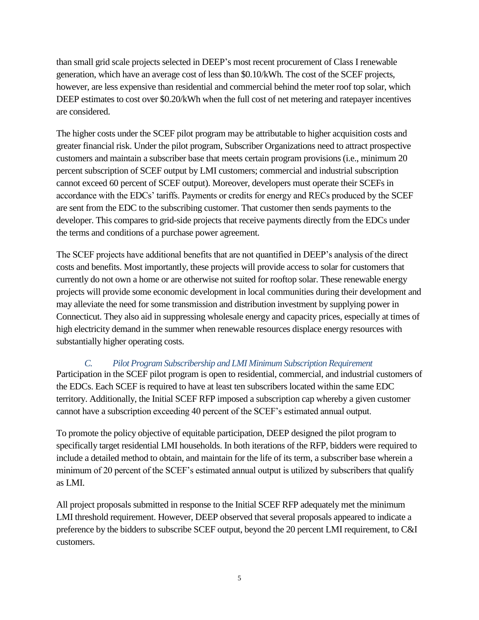than small grid scale projects selected in DEEP's most recent procurement of Class I renewable generation, which have an average cost of less than \$0.10/kWh. The cost of the SCEF projects, however, are less expensive than residential and commercial behind the meter roof top solar, which DEEP estimates to cost over \$0.20/kWh when the full cost of net metering and ratepayer incentives are considered.

The higher costs under the SCEF pilot program may be attributable to higher acquisition costs and greater financial risk. Under the pilot program, Subscriber Organizations need to attract prospective customers and maintain a subscriber base that meets certain program provisions (i.e., minimum 20 percent subscription of SCEF output by LMI customers; commercial and industrial subscription cannot exceed 60 percent of SCEF output). Moreover, developers must operate their SCEFs in accordance with the EDCs' tariffs. Payments or credits for energy and RECs produced by the SCEF are sent from the EDC to the subscribing customer. That customer then sends payments to the developer. This compares to grid-side projects that receive payments directly from the EDCs under the terms and conditions of a purchase power agreement.

The SCEF projects have additional benefits that are not quantified in DEEP's analysis of the direct costs and benefits. Most importantly, these projects will provide access to solar for customers that currently do not own a home or are otherwise not suited for rooftop solar. These renewable energy projects will provide some economic development in local communities during their development and may alleviate the need for some transmission and distribution investment by supplying power in Connecticut. They also aid in suppressing wholesale energy and capacity prices, especially at times of high electricity demand in the summer when renewable resources displace energy resources with substantially higher operating costs.

# <span id="page-8-0"></span>*C. Pilot Program Subscribership and LMI Minimum Subscription Requirement*

Participation in the SCEF pilot program is open to residential, commercial, and industrial customers of the EDCs. Each SCEF is required to have at least ten subscribers located within the same EDC territory. Additionally, the Initial SCEF RFP imposed a subscription cap whereby a given customer cannot have a subscription exceeding 40 percent of the SCEF's estimated annual output.

To promote the policy objective of equitable participation, DEEP designed the pilot program to specifically target residential LMI households. In both iterations of the RFP, bidders were required to include a detailed method to obtain, and maintain for the life of its term, a subscriber base wherein a minimum of 20 percent of the SCEF's estimated annual output is utilized by subscribers that qualify as LMI.

All project proposals submitted in response to the Initial SCEF RFP adequately met the minimum LMI threshold requirement. However, DEEP observed that several proposals appeared to indicate a preference by the bidders to subscribe SCEF output, beyond the 20 percent LMI requirement, to C&I customers.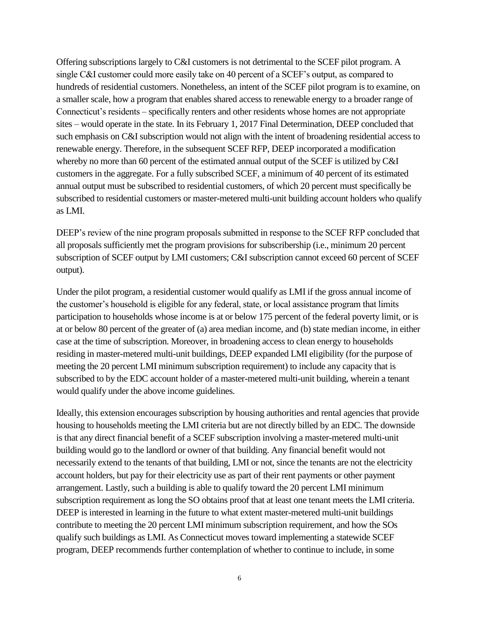Offering subscriptions largely to C&I customers is not detrimental to the SCEF pilot program. A single C&I customer could more easily take on 40 percent of a SCEF's output, as compared to hundreds of residential customers. Nonetheless, an intent of the SCEF pilot program is to examine, on a smaller scale, how a program that enables shared access to renewable energy to a broader range of Connecticut's residents – specifically renters and other residents whose homes are not appropriate sites – would operate in the state. In its February 1, 2017 Final Determination, DEEP concluded that such emphasis on C&I subscription would not align with the intent of broadening residential access to renewable energy. Therefore, in the subsequent SCEF RFP, DEEP incorporated a modification whereby no more than 60 percent of the estimated annual output of the SCEF is utilized by C&I customers in the aggregate. For a fully subscribed SCEF, a minimum of 40 percent of its estimated annual output must be subscribed to residential customers, of which 20 percent must specifically be subscribed to residential customers or master-metered multi-unit building account holders who qualify as LMI.

DEEP's review of the nine program proposals submitted in response to the SCEF RFP concluded that all proposals sufficiently met the program provisions for subscribership (i.e., minimum 20 percent subscription of SCEF output by LMI customers; C&I subscription cannot exceed 60 percent of SCEF output).

Under the pilot program, a residential customer would qualify as LMI if the gross annual income of the customer's household is eligible for any federal, state, or local assistance program that limits participation to households whose income is at or below 175 percent of the federal poverty limit, or is at or below 80 percent of the greater of (a) area median income, and (b) state median income, in either case at the time of subscription. Moreover, in broadening access to clean energy to households residing in master-metered multi-unit buildings, DEEP expanded LMI eligibility (for the purpose of meeting the 20 percent LMI minimum subscription requirement) to include any capacity that is subscribed to by the EDC account holder of a master-metered multi-unit building, wherein a tenant would qualify under the above income guidelines.

Ideally, this extension encourages subscription by housing authorities and rental agencies that provide housing to households meeting the LMI criteria but are not directly billed by an EDC. The downside is that any direct financial benefit of a SCEF subscription involving a master-metered multi-unit building would go to the landlord or owner of that building. Any financial benefit would not necessarily extend to the tenants of that building, LMI or not, since the tenants are not the electricity account holders, but pay for their electricity use as part of their rent payments or other payment arrangement. Lastly, such a building is able to qualify toward the 20 percent LMI minimum subscription requirement as long the SO obtains proof that at least one tenant meets the LMI criteria. DEEP is interested in learning in the future to what extent master-metered multi-unit buildings contribute to meeting the 20 percent LMI minimum subscription requirement, and how the SOs qualify such buildings as LMI. As Connecticut moves toward implementing a statewide SCEF program, DEEP recommends further contemplation of whether to continue to include, in some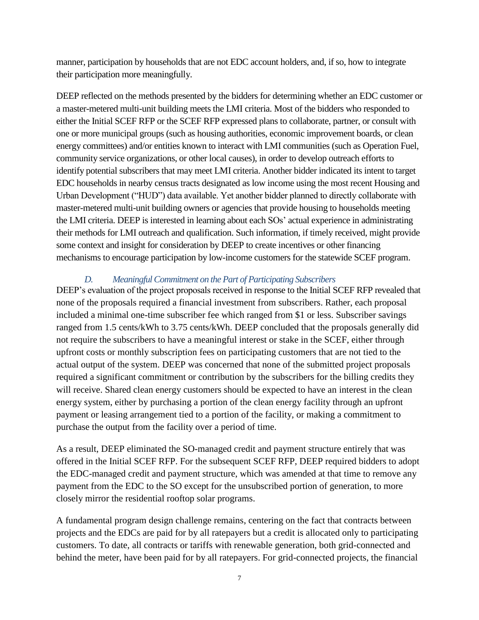manner, participation by households that are not EDC account holders, and, if so, how to integrate their participation more meaningfully.

DEEP reflected on the methods presented by the bidders for determining whether an EDC customer or a master-metered multi-unit building meets the LMI criteria. Most of the bidders who responded to either the Initial SCEF RFP or the SCEF RFP expressed plans to collaborate, partner, or consult with one or more municipal groups (such as housing authorities, economic improvement boards, or clean energy committees) and/or entities known to interact with LMI communities (such as Operation Fuel, community service organizations, or other local causes), in order to develop outreach efforts to identify potential subscribers that may meet LMI criteria. Another bidder indicated its intent to target EDC households in nearby census tracts designated as low income using the most recent Housing and Urban Development ("HUD") data available. Yet another bidder planned to directly collaborate with master-metered multi-unit building owners or agencies that provide housing to households meeting the LMI criteria. DEEP is interested in learning about each SOs' actual experience in administrating their methods for LMI outreach and qualification. Such information, if timely received, might provide some context and insight for consideration by DEEP to create incentives or other financing mechanisms to encourage participation by low-income customers for the statewide SCEF program.

## *D. Meaningful Commitment on the Part of Participating Subscribers*

<span id="page-10-0"></span>DEEP's evaluation of the project proposals received in response to the Initial SCEF RFP revealed that none of the proposals required a financial investment from subscribers. Rather, each proposal included a minimal one-time subscriber fee which ranged from \$1 or less. Subscriber savings ranged from 1.5 cents/kWh to 3.75 cents/kWh. DEEP concluded that the proposals generally did not require the subscribers to have a meaningful interest or stake in the SCEF, either through upfront costs or monthly subscription fees on participating customers that are not tied to the actual output of the system. DEEP was concerned that none of the submitted project proposals required a significant commitment or contribution by the subscribers for the billing credits they will receive. Shared clean energy customers should be expected to have an interest in the clean energy system, either by purchasing a portion of the clean energy facility through an upfront payment or leasing arrangement tied to a portion of the facility, or making a commitment to purchase the output from the facility over a period of time.

As a result, DEEP eliminated the SO-managed credit and payment structure entirely that was offered in the Initial SCEF RFP. For the subsequent SCEF RFP, DEEP required bidders to adopt the EDC-managed credit and payment structure, which was amended at that time to remove any payment from the EDC to the SO except for the unsubscribed portion of generation, to more closely mirror the residential rooftop solar programs.

A fundamental program design challenge remains, centering on the fact that contracts between projects and the EDCs are paid for by all ratepayers but a credit is allocated only to participating customers. To date, all contracts or tariffs with renewable generation, both grid-connected and behind the meter, have been paid for by all ratepayers. For grid-connected projects, the financial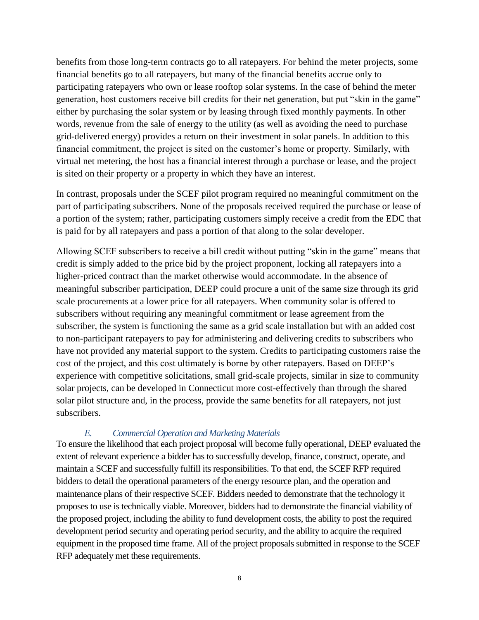benefits from those long-term contracts go to all ratepayers. For behind the meter projects, some financial benefits go to all ratepayers, but many of the financial benefits accrue only to participating ratepayers who own or lease rooftop solar systems. In the case of behind the meter generation, host customers receive bill credits for their net generation, but put "skin in the game" either by purchasing the solar system or by leasing through fixed monthly payments. In other words, revenue from the sale of energy to the utility (as well as avoiding the need to purchase grid-delivered energy) provides a return on their investment in solar panels. In addition to this financial commitment, the project is sited on the customer's home or property. Similarly, with virtual net metering, the host has a financial interest through a purchase or lease, and the project is sited on their property or a property in which they have an interest.

In contrast, proposals under the SCEF pilot program required no meaningful commitment on the part of participating subscribers. None of the proposals received required the purchase or lease of a portion of the system; rather, participating customers simply receive a credit from the EDC that is paid for by all ratepayers and pass a portion of that along to the solar developer.

Allowing SCEF subscribers to receive a bill credit without putting "skin in the game" means that credit is simply added to the price bid by the project proponent, locking all ratepayers into a higher-priced contract than the market otherwise would accommodate. In the absence of meaningful subscriber participation, DEEP could procure a unit of the same size through its grid scale procurements at a lower price for all ratepayers. When community solar is offered to subscribers without requiring any meaningful commitment or lease agreement from the subscriber, the system is functioning the same as a grid scale installation but with an added cost to non-participant ratepayers to pay for administering and delivering credits to subscribers who have not provided any material support to the system. Credits to participating customers raise the cost of the project, and this cost ultimately is borne by other ratepayers. Based on DEEP's experience with competitive solicitations, small grid-scale projects, similar in size to community solar projects, can be developed in Connecticut more cost-effectively than through the shared solar pilot structure and, in the process, provide the same benefits for all ratepayers, not just subscribers.

# *E. Commercial Operation and Marketing Materials*

<span id="page-11-0"></span>To ensure the likelihood that each project proposal will become fully operational, DEEP evaluated the extent of relevant experience a bidder has to successfully develop, finance, construct, operate, and maintain a SCEF and successfully fulfill its responsibilities. To that end, the SCEF RFP required bidders to detail the operational parameters of the energy resource plan, and the operation and maintenance plans of their respective SCEF. Bidders needed to demonstrate that the technology it proposes to use is technically viable. Moreover, bidders had to demonstrate the financial viability of the proposed project, including the ability to fund development costs, the ability to post the required development period security and operating period security, and the ability to acquire the required equipment in the proposed time frame. All of the project proposals submitted in response to the SCEF RFP adequately met these requirements.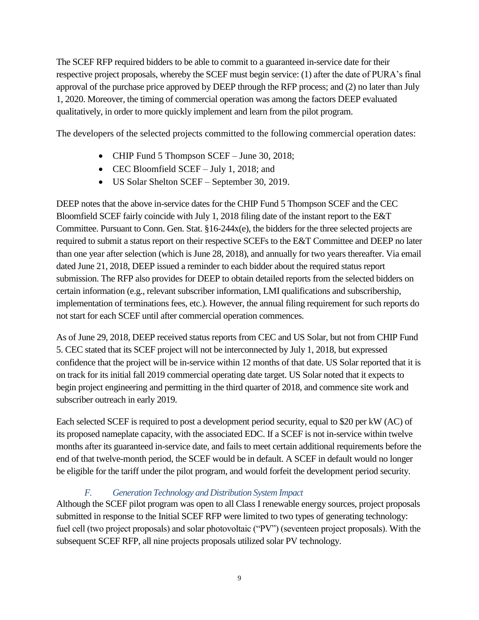The SCEF RFP required bidders to be able to commit to a guaranteed in-service date for their respective project proposals, whereby the SCEF must begin service: (1) after the date of PURA's final approval of the purchase price approved by DEEP through the RFP process; and (2) no later than July 1, 2020. Moreover, the timing of commercial operation was among the factors DEEP evaluated qualitatively, in order to more quickly implement and learn from the pilot program.

The developers of the selected projects committed to the following commercial operation dates:

- CHIP Fund 5 Thompson SCEF June 30, 2018;
- CEC Bloomfield SCEF July 1, 2018; and
- US Solar Shelton SCEF September 30, 2019.

DEEP notes that the above in-service dates for the CHIP Fund 5 Thompson SCEF and the CEC Bloomfield SCEF fairly coincide with July 1, 2018 filing date of the instant report to the E&T Committee. Pursuant to Conn. Gen. Stat. §16-244x(e), the bidders for the three selected projects are required to submit a status report on their respective SCEFs to the E&T Committee and DEEP no later than one year after selection (which is June 28, 2018), and annually for two years thereafter. Via email dated June 21, 2018, DEEP issued a reminder to each bidder about the required status report submission. The RFP also provides for DEEP to obtain detailed reports from the selected bidders on certain information (e.g., relevant subscriber information, LMI qualifications and subscribership, implementation of terminations fees, etc.). However, the annual filing requirement for such reports do not start for each SCEF until after commercial operation commences.

As of June 29, 2018, DEEP received status reports from CEC and US Solar, but not from CHIP Fund 5. CEC stated that its SCEF project will not be interconnected by July 1, 2018, but expressed confidence that the project will be in-service within 12 months of that date. US Solar reported that it is on track for its initial fall 2019 commercial operating date target. US Solar noted that it expects to begin project engineering and permitting in the third quarter of 2018, and commence site work and subscriber outreach in early 2019.

Each selected SCEF is required to post a development period security, equal to \$20 per kW (AC) of its proposed nameplate capacity, with the associated EDC. If a SCEF is not in-service within twelve months after its guaranteed in-service date, and fails to meet certain additional requirements before the end of that twelve-month period, the SCEF would be in default. A SCEF in default would no longer be eligible for the tariff under the pilot program, and would forfeit the development period security.

# *F. Generation Technology and Distribution System Impact*

<span id="page-12-0"></span>Although the SCEF pilot program was open to all Class I renewable energy sources, project proposals submitted in response to the Initial SCEF RFP were limited to two types of generating technology: fuel cell (two project proposals) and solar photovoltaic ("PV") (seventeen project proposals). With the subsequent SCEF RFP, all nine projects proposals utilized solar PV technology.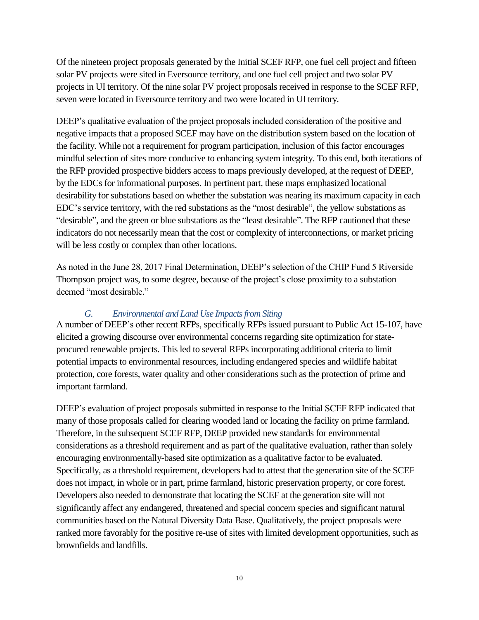Of the nineteen project proposals generated by the Initial SCEF RFP, one fuel cell project and fifteen solar PV projects were sited in Eversource territory, and one fuel cell project and two solar PV projects in UI territory. Of the nine solar PV project proposals received in response to the SCEF RFP, seven were located in Eversource territory and two were located in UI territory.

DEEP's qualitative evaluation of the project proposals included consideration of the positive and negative impacts that a proposed SCEF may have on the distribution system based on the location of the facility. While not a requirement for program participation, inclusion of this factor encourages mindful selection of sites more conducive to enhancing system integrity. To this end, both iterations of the RFP provided prospective bidders access to maps previously developed, at the request of DEEP, by the EDCs for informational purposes. In pertinent part, these maps emphasized locational desirability for substations based on whether the substation was nearing its maximum capacity in each EDC's service territory, with the red substations as the "most desirable", the yellow substations as "desirable", and the green or blue substations as the "least desirable". The RFP cautioned that these indicators do not necessarily mean that the cost or complexity of interconnections, or market pricing will be less costly or complex than other locations.

As noted in the June 28, 2017 Final Determination, DEEP's selection of the CHIP Fund 5 Riverside Thompson project was, to some degree, because of the project's close proximity to a substation deemed "most desirable."

### *G. Environmental and Land Use Impacts from Siting*

<span id="page-13-0"></span>A number of DEEP's other recent RFPs, specifically RFPs issued pursuant to Public Act 15-107, have elicited a growing discourse over environmental concerns regarding site optimization for stateprocured renewable projects. This led to several RFPs incorporating additional criteria to limit potential impacts to environmental resources, including endangered species and wildlife habitat protection, core forests, water quality and other considerations such as the protection of prime and important farmland.

DEEP's evaluation of project proposals submitted in response to the Initial SCEF RFP indicated that many of those proposals called for clearing wooded land or locating the facility on prime farmland. Therefore, in the subsequent SCEF RFP, DEEP provided new standards for environmental considerations as a threshold requirement and as part of the qualitative evaluation, rather than solely encouraging environmentally-based site optimization as a qualitative factor to be evaluated. Specifically, as a threshold requirement, developers had to attest that the generation site of the SCEF does not impact, in whole or in part, prime farmland, historic preservation property, or core forest. Developers also needed to demonstrate that locating the SCEF at the generation site will not significantly affect any endangered, threatened and special concern species and significant natural communities based on the Natural Diversity Data Base. Qualitatively, the project proposals were ranked more favorably for the positive re-use of sites with limited development opportunities, such as brownfields and landfills.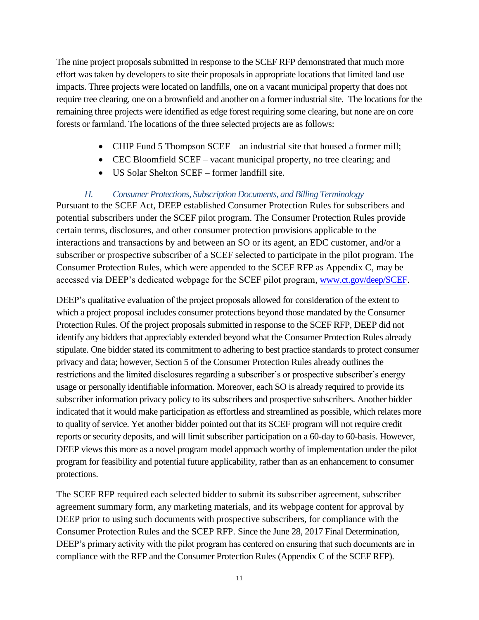The nine project proposals submitted in response to the SCEF RFP demonstrated that much more effort was taken by developers to site their proposals in appropriate locations that limited land use impacts. Three projects were located on landfills, one on a vacant municipal property that does not require tree clearing, one on a brownfield and another on a former industrial site. The locations for the remaining three projects were identified as edge forest requiring some clearing, but none are on core forests or farmland. The locations of the three selected projects are as follows:

- CHIP Fund 5 Thompson SCEF an industrial site that housed a former mill;
- CEC Bloomfield SCEF vacant municipal property, no tree clearing; and
- US Solar Shelton SCEF former landfill site.

#### *H. Consumer Protections, Subscription Documents, and Billing Terminology*

<span id="page-14-0"></span>Pursuant to the SCEF Act, DEEP established Consumer Protection Rules for subscribers and potential subscribers under the SCEF pilot program. The Consumer Protection Rules provide certain terms, disclosures, and other consumer protection provisions applicable to the interactions and transactions by and between an SO or its agent, an EDC customer, and/or a subscriber or prospective subscriber of a SCEF selected to participate in the pilot program. The Consumer Protection Rules, which were appended to the SCEF RFP as Appendix C, may be accessed via DEEP's dedicated webpage for the SCEF pilot program, [www.ct.gov/deep/SCEF.](http://www.ct.gov/deep/SCEF)

DEEP's qualitative evaluation of the project proposals allowed for consideration of the extent to which a project proposal includes consumer protections beyond those mandated by the Consumer Protection Rules. Of the project proposals submitted in response to the SCEF RFP, DEEP did not identify any bidders that appreciably extended beyond what the Consumer Protection Rules already stipulate. One bidder stated its commitment to adhering to best practice standards to protect consumer privacy and data; however, Section 5 of the Consumer Protection Rules already outlines the restrictions and the limited disclosures regarding a subscriber's or prospective subscriber's energy usage or personally identifiable information. Moreover, each SO is already required to provide its subscriber information privacy policy to its subscribers and prospective subscribers. Another bidder indicated that it would make participation as effortless and streamlined as possible, which relates more to quality of service. Yet another bidder pointed out that its SCEF program will not require credit reports or security deposits, and will limit subscriber participation on a 60-day to 60-basis. However, DEEP views this more as a novel program model approach worthy of implementation under the pilot program for feasibility and potential future applicability, rather than as an enhancement to consumer protections.

The SCEF RFP required each selected bidder to submit its subscriber agreement, subscriber agreement summary form, any marketing materials, and its webpage content for approval by DEEP prior to using such documents with prospective subscribers, for compliance with the Consumer Protection Rules and the SCEP RFP. Since the June 28, 2017 Final Determination, DEEP's primary activity with the pilot program has centered on ensuring that such documents are in compliance with the RFP and the Consumer Protection Rules (Appendix C of the SCEF RFP).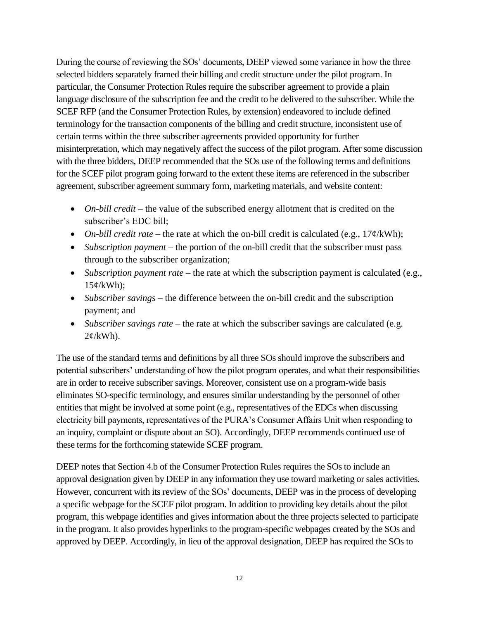During the course of reviewing the SOs' documents, DEEP viewed some variance in how the three selected bidders separately framed their billing and credit structure under the pilot program. In particular, the Consumer Protection Rules require the subscriber agreement to provide a plain language disclosure of the subscription fee and the credit to be delivered to the subscriber. While the SCEF RFP (and the Consumer Protection Rules, by extension) endeavored to include defined terminology for the transaction components of the billing and credit structure, inconsistent use of certain terms within the three subscriber agreements provided opportunity for further misinterpretation, which may negatively affect the success of the pilot program. After some discussion with the three bidders, DEEP recommended that the SOs use of the following terms and definitions for the SCEF pilot program going forward to the extent these items are referenced in the subscriber agreement, subscriber agreement summary form, marketing materials, and website content:

- *On-bill credit* the value of the subscribed energy allotment that is credited on the subscriber's EDC bill;
- *On-bill credit rate* the rate at which the on-bill credit is calculated (e.g., 17¢/kWh);
- *Subscription payment* the portion of the on-bill credit that the subscriber must pass through to the subscriber organization;
- *Subscription payment rate* the rate at which the subscription payment is calculated (e.g.,  $15¢/kWh$ ;
- *Subscriber savings* the difference between the on-bill credit and the subscription payment; and
- *Subscriber savings rate* the rate at which the subscriber savings are calculated (e.g.  $2¢/kWh$ ).

The use of the standard terms and definitions by all three SOs should improve the subscribers and potential subscribers' understanding of how the pilot program operates, and what their responsibilities are in order to receive subscriber savings. Moreover, consistent use on a program-wide basis eliminates SO-specific terminology, and ensures similar understanding by the personnel of other entities that might be involved at some point (e.g., representatives of the EDCs when discussing electricity bill payments, representatives of the PURA's Consumer Affairs Unit when responding to an inquiry, complaint or dispute about an SO). Accordingly, DEEP recommends continued use of these terms for the forthcoming statewide SCEF program.

DEEP notes that Section 4.b of the Consumer Protection Rules requires the SOs to include an approval designation given by DEEP in any information they use toward marketing or sales activities. However, concurrent with its review of the SOs' documents, DEEP was in the process of developing a specific webpage for the SCEF pilot program. In addition to providing key details about the pilot program, this webpage identifies and gives information about the three projects selected to participate in the program. It also provides hyperlinks to the program-specific webpages created by the SOs and approved by DEEP. Accordingly, in lieu of the approval designation, DEEP has required the SOs to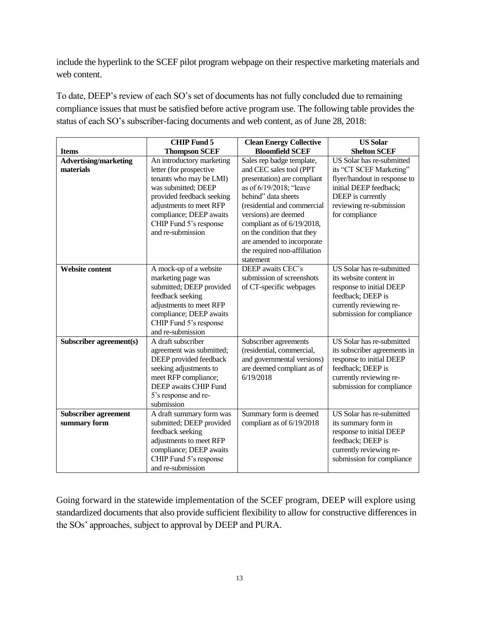include the hyperlink to the SCEF pilot program webpage on their respective marketing materials and web content.

To date, DEEP's review of each SO's set of documents has not fully concluded due to remaining compliance issues that must be satisfied before active program use. The following table provides the status of each SO's subscriber-facing documents and web content, as of June 28, 2018:

|                              | <b>CHIP Fund 5</b>        | <b>Clean Energy Collective</b> | <b>US Solar</b>              |
|------------------------------|---------------------------|--------------------------------|------------------------------|
| <b>Items</b>                 | <b>Thompson SCEF</b>      | <b>Bloomfield SCEF</b>         | <b>Shelton SCEF</b>          |
| <b>Advertising/marketing</b> | An introductory marketing | Sales rep badge template,      | US Solar has re-submitted    |
| materials                    | letter (for prospective   | and CEC sales tool (PPT        | its "CT SCEF Marketing"      |
|                              | tenants who may be LMI)   | presentation) are compliant    | flyer/handout in response to |
|                              | was submitted; DEEP       | as of 6/19/2018; "leave        | initial DEEP feedback;       |
|                              | provided feedback seeking | behind" data sheets            | DEEP is currently            |
|                              | adjustments to meet RFP   | (residential and commercial    | reviewing re-submission      |
|                              | compliance; DEEP awaits   | versions) are deemed           | for compliance               |
|                              | CHIP Fund 5's response    | compliant as of 6/19/2018,     |                              |
|                              | and re-submission         | on the condition that they     |                              |
|                              |                           | are amended to incorporate     |                              |
|                              |                           | the required non-affiliation   |                              |
|                              |                           | statement                      |                              |
| Website content              | A mock-up of a website    | DEEP awaits CEC's              | US Solar has re-submitted    |
|                              | marketing page was        | submission of screenshots      | its website content in       |
|                              | submitted; DEEP provided  | of CT-specific webpages        | response to initial DEEP     |
|                              | feedback seeking          |                                | feedback; DEEP is            |
|                              | adjustments to meet RFP   |                                | currently reviewing re-      |
|                              | compliance; DEEP awaits   |                                | submission for compliance    |
|                              | CHIP Fund 5's response    |                                |                              |
|                              | and re-submission         |                                |                              |
| Subscriber agreement(s)      | A draft subscriber        | Subscriber agreements          | US Solar has re-submitted    |
|                              | agreement was submitted;  | (residential, commercial,      | its subscriber agreements in |
|                              | DEEP provided feedback    | and governmental versions)     | response to initial DEEP     |
|                              | seeking adjustments to    | are deemed compliant as of     | feedback; DEEP is            |
|                              | meet RFP compliance;      | 6/19/2018                      | currently reviewing re-      |
|                              | DEEP awaits CHIP Fund     |                                | submission for compliance    |
|                              | 5's response and re-      |                                |                              |
|                              | submission                |                                |                              |
| <b>Subscriber agreement</b>  | A draft summary form was  | Summary form is deemed         | US Solar has re-submitted    |
| summary form                 | submitted; DEEP provided  | compliant as of 6/19/2018      | its summary form in          |
|                              | feedback seeking          |                                | response to initial DEEP     |
|                              | adjustments to meet RFP   |                                | feedback; DEEP is            |
|                              | compliance; DEEP awaits   |                                | currently reviewing re-      |
|                              | CHIP Fund 5's response    |                                | submission for compliance    |
|                              | and re-submission         |                                |                              |

Going forward in the statewide implementation of the SCEF program, DEEP will explore using standardized documents that also provide sufficient flexibility to allow for constructive differences in the SOs' approaches, subject to approval by DEEP and PURA.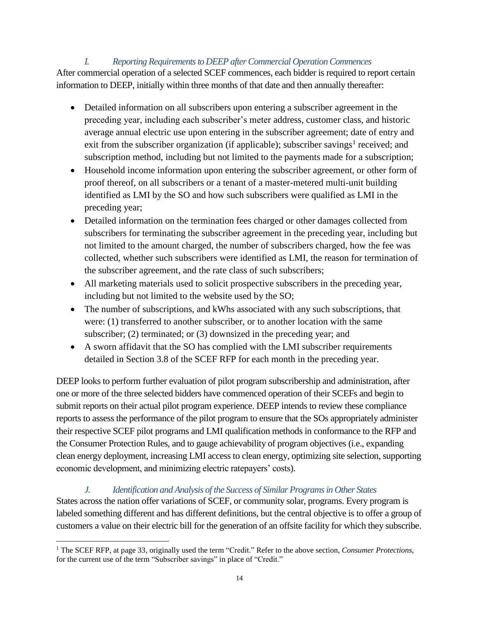#### *I. Reporting Requirements to DEEP after Commercial Operation Commences*

<span id="page-17-0"></span>After commercial operation of a selected SCEF commences, each bidder is required to report certain information to DEEP, initially within three months of that date and then annually thereafter:

- Detailed information on all subscribers upon entering a subscriber agreement in the preceding year, including each subscriber's meter address, customer class, and historic average annual electric use upon entering in the subscriber agreement; date of entry and exit from the subscriber organization (if applicable); subscriber savings<sup>1</sup> received; and subscription method, including but not limited to the payments made for a subscription;
- Household income information upon entering the subscriber agreement, or other form of proof thereof, on all subscribers or a tenant of a master-metered multi-unit building identified as LMI by the SO and how such subscribers were qualified as LMI in the preceding year;
- Detailed information on the termination fees charged or other damages collected from subscribers for terminating the subscriber agreement in the preceding year, including but not limited to the amount charged, the number of subscribers charged, how the fee was collected, whether such subscribers were identified as LMI, the reason for termination of the subscriber agreement, and the rate class of such subscribers;
- All marketing materials used to solicit prospective subscribers in the preceding year, including but not limited to the website used by the SO;
- The number of subscriptions, and kWhs associated with any such subscriptions, that were: (1) transferred to another subscriber, or to another location with the same subscriber; (2) terminated; or (3) downsized in the preceding year; and
- A sworn affidavit that the SO has complied with the LMI subscriber requirements detailed in Section 3.8 of the SCEF RFP for each month in the preceding year.

DEEP looks to perform further evaluation of pilot program subscribership and administration, after one or more of the three selected bidders have commenced operation of their SCEFs and begin to submit reports on their actual pilot program experience. DEEP intends to review these compliance reports to assess the performance of the pilot program to ensure that the SOs appropriately administer their respective SCEF pilot programs and LMI qualification methods in conformance to the RFP and the Consumer Protection Rules, and to gauge achievability of program objectives (i.e., expanding clean energy deployment, increasing LMI access to clean energy, optimizing site selection, supporting economic development, and minimizing electric ratepayers' costs).

<span id="page-17-1"></span>*J. Identification and Analysis of the Success of Similar Programs in Other States* States across the nation offer variations of SCEF, or community solar, programs. Every program is labeled something different and has different definitions, but the central objective is to offer a group of customers a value on their electric bill for the generation of an offsite facility for which they subscribe.

 $\overline{a}$ <sup>1</sup> The SCEF RFP, at page 33, originally used the term "Credit." Refer to the above section, *Consumer Protections*, for the current use of the term "Subscriber savings" in place of "Credit."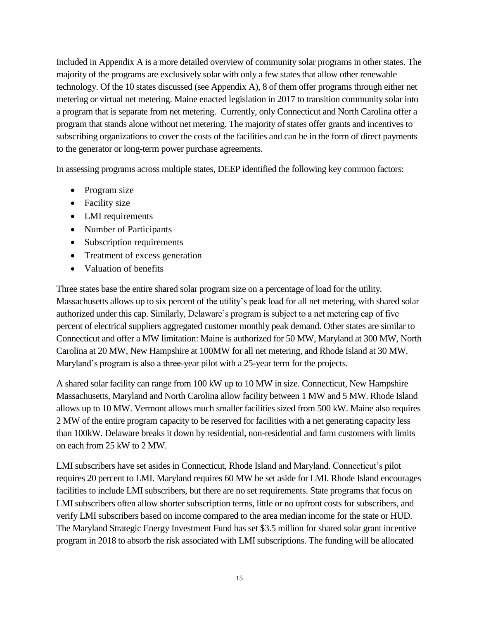Included in Appendix A is a more detailed overview of community solar programs in other states. The majority of the programs are exclusively solar with only a few states that allow other renewable technology. Of the 10 states discussed (see Appendix A), 8 of them offer programs through either net metering or virtual net metering. Maine enacted legislation in 2017 to transition community solar into a program that is separate from net metering. Currently, only Connecticut and North Carolina offer a program that stands alone without net metering. The majority of states offer grants and incentives to subscribing organizations to cover the costs of the facilities and can be in the form of direct payments to the generator or long-term power purchase agreements.

In assessing programs across multiple states, DEEP identified the following key common factors:

- Program size
- Facility size
- LMI requirements
- Number of Participants
- Subscription requirements
- Treatment of excess generation
- Valuation of benefits

Three states base the entire shared solar program size on a percentage of load for the utility. Massachusetts allows up to six percent of the utility's peak load for all net metering, with shared solar authorized under this cap. Similarly, Delaware's program is subject to a net metering cap of five percent of electrical suppliers aggregated customer monthly peak demand. Other states are similar to Connecticut and offer a MW limitation: Maine is authorized for 50 MW, Maryland at 300 MW, North Carolina at 20 MW, New Hampshire at 100MW for all net metering, and Rhode Island at 30 MW. Maryland's program is also a three-year pilot with a 25-year term for the projects.

A shared solar facility can range from 100 kW up to 10 MW in size. Connecticut, New Hampshire Massachusetts, Maryland and North Carolina allow facility between 1 MW and 5 MW. Rhode Island allows up to 10 MW. Vermont allows much smaller facilities sized from 500 kW. Maine also requires 2 MW of the entire program capacity to be reserved for facilities with a net generating capacity less than 100kW. Delaware breaks it down by residential, non-residential and farm customers with limits on each from 25 kW to 2 MW.

LMI subscribers have set asides in Connecticut, Rhode Island and Maryland. Connecticut's pilot requires 20 percent to LMI. Maryland requires 60 MW be set aside for LMI. Rhode Island encourages facilities to include LMI subscribers, but there are no set requirements. State programs that focus on LMI subscribers often allow shorter subscription terms, little or no upfront costs for subscribers, and verify LMI subscribers based on income compared to the area median income for the state or HUD. The Maryland Strategic Energy Investment Fund has set \$3.5 million for shared solar grant incentive program in 2018 to absorb the risk associated with LMI subscriptions. The funding will be allocated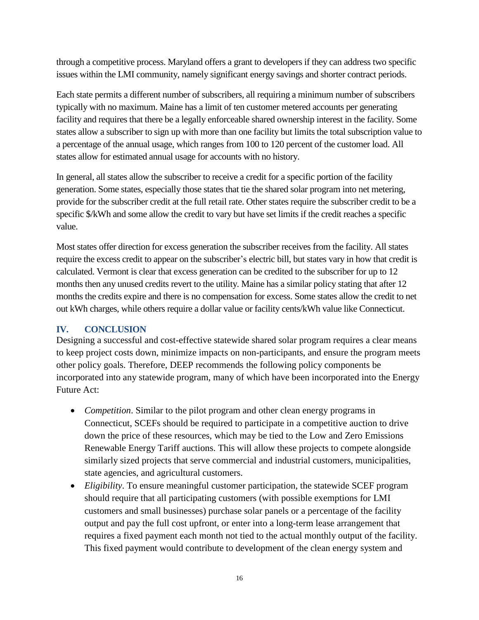through a competitive process. Maryland offers a grant to developers if they can address two specific issues within the LMI community, namely significant energy savings and shorter contract periods.

Each state permits a different number of subscribers, all requiring a minimum number of subscribers typically with no maximum. Maine has a limit of ten customer metered accounts per generating facility and requires that there be a legally enforceable shared ownership interest in the facility. Some states allow a subscriber to sign up with more than one facility but limits the total subscription value to a percentage of the annual usage, which ranges from 100 to 120 percent of the customer load. All states allow for estimated annual usage for accounts with no history.

In general, all states allow the subscriber to receive a credit for a specific portion of the facility generation. Some states, especially those states that tie the shared solar program into net metering, provide for the subscriber credit at the full retail rate. Other states require the subscriber credit to be a specific \$/kWh and some allow the credit to vary but have set limits if the credit reaches a specific value.

Most states offer direction for excess generation the subscriber receives from the facility. All states require the excess credit to appear on the subscriber's electric bill, but states vary in how that credit is calculated. Vermont is clear that excess generation can be credited to the subscriber for up to 12 months then any unused credits revert to the utility. Maine has a similar policy stating that after 12 months the credits expire and there is no compensation for excess. Some states allow the credit to net out kWh charges, while others require a dollar value or facility cents/kWh value like Connecticut.

#### <span id="page-19-0"></span>**IV. CONCLUSION**

Designing a successful and cost-effective statewide shared solar program requires a clear means to keep project costs down, minimize impacts on non-participants, and ensure the program meets other policy goals. Therefore, DEEP recommends the following policy components be incorporated into any statewide program, many of which have been incorporated into the Energy Future Act:

- *Competition*. Similar to the pilot program and other clean energy programs in Connecticut, SCEFs should be required to participate in a competitive auction to drive down the price of these resources, which may be tied to the Low and Zero Emissions Renewable Energy Tariff auctions. This will allow these projects to compete alongside similarly sized projects that serve commercial and industrial customers, municipalities, state agencies, and agricultural customers.
- *Eligibility*. To ensure meaningful customer participation, the statewide SCEF program should require that all participating customers (with possible exemptions for LMI customers and small businesses) purchase solar panels or a percentage of the facility output and pay the full cost upfront, or enter into a long-term lease arrangement that requires a fixed payment each month not tied to the actual monthly output of the facility. This fixed payment would contribute to development of the clean energy system and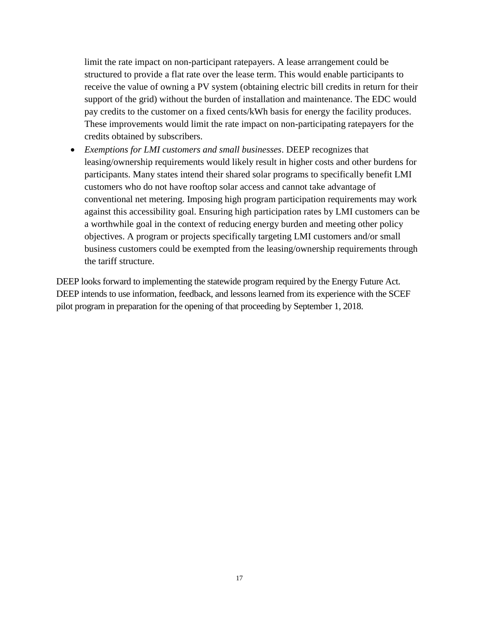limit the rate impact on non-participant ratepayers. A lease arrangement could be structured to provide a flat rate over the lease term. This would enable participants to receive the value of owning a PV system (obtaining electric bill credits in return for their support of the grid) without the burden of installation and maintenance. The EDC would pay credits to the customer on a fixed cents/kWh basis for energy the facility produces. These improvements would limit the rate impact on non-participating ratepayers for the credits obtained by subscribers.

 *Exemptions for LMI customers and small businesses*. DEEP recognizes that leasing/ownership requirements would likely result in higher costs and other burdens for participants. Many states intend their shared solar programs to specifically benefit LMI customers who do not have rooftop solar access and cannot take advantage of conventional net metering. Imposing high program participation requirements may work against this accessibility goal. Ensuring high participation rates by LMI customers can be a worthwhile goal in the context of reducing energy burden and meeting other policy objectives. A program or projects specifically targeting LMI customers and/or small business customers could be exempted from the leasing/ownership requirements through the tariff structure.

DEEP looks forward to implementing the statewide program required by the Energy Future Act. DEEP intends to use information, feedback, and lessons learned from its experience with the SCEF pilot program in preparation for the opening of that proceeding by September 1, 2018.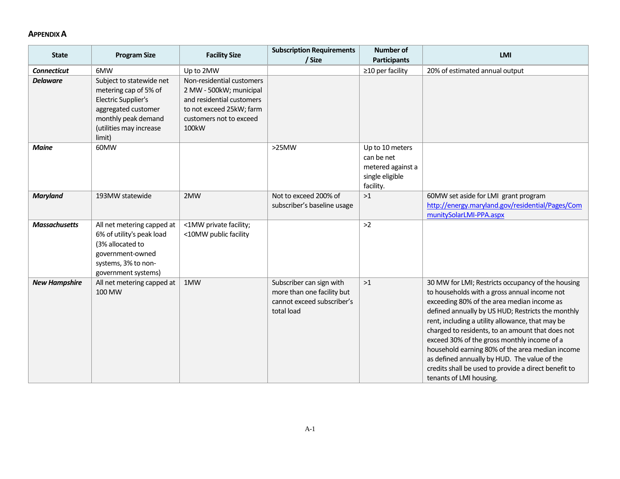#### **APPENDIX A**

| <b>State</b>         | <b>Program Size</b>                                                                                                                                                | <b>Facility Size</b>                                                                                                                                           | <b>Subscription Requirements</b><br>/ Size                                                         | <b>Number of</b><br><b>Participants</b>                                            | LMI                                                                                                                                                                                                                                                                                                                                                                                                                                                                                                                                               |
|----------------------|--------------------------------------------------------------------------------------------------------------------------------------------------------------------|----------------------------------------------------------------------------------------------------------------------------------------------------------------|----------------------------------------------------------------------------------------------------|------------------------------------------------------------------------------------|---------------------------------------------------------------------------------------------------------------------------------------------------------------------------------------------------------------------------------------------------------------------------------------------------------------------------------------------------------------------------------------------------------------------------------------------------------------------------------------------------------------------------------------------------|
| <b>Connecticut</b>   | 6MW                                                                                                                                                                | Up to 2MW                                                                                                                                                      |                                                                                                    | $\geq$ 10 per facility                                                             | 20% of estimated annual output                                                                                                                                                                                                                                                                                                                                                                                                                                                                                                                    |
| <b>Delaware</b>      | Subject to statewide net<br>metering cap of 5% of<br><b>Electric Supplier's</b><br>aggregated customer<br>monthly peak demand<br>(utilities may increase<br>limit) | Non-residential customers<br>2 MW - 500kW; municipal<br>and residential customers<br>to not exceed 25kW; farm<br>customers not to exceed<br>100 <sub>k</sub> W |                                                                                                    |                                                                                    |                                                                                                                                                                                                                                                                                                                                                                                                                                                                                                                                                   |
| <b>Maine</b>         | 60MW                                                                                                                                                               |                                                                                                                                                                | $>25$ MW                                                                                           | Up to 10 meters<br>can be net<br>metered against a<br>single eligible<br>facility. |                                                                                                                                                                                                                                                                                                                                                                                                                                                                                                                                                   |
| <b>Maryland</b>      | 193MW statewide                                                                                                                                                    | 2MW                                                                                                                                                            | Not to exceed 200% of<br>subscriber's baseline usage                                               | >1                                                                                 | 60MW set aside for LMI grant program<br>http://energy.maryland.gov/residential/Pages/Com<br>munitySolarLMI-PPA.aspx                                                                                                                                                                                                                                                                                                                                                                                                                               |
| <b>Massachusetts</b> | All net metering capped at<br>6% of utility's peak load<br>(3% allocated to<br>government-owned<br>systems, 3% to non-<br>government systems)                      | <1MW private facility;<br><10MW public facility                                                                                                                |                                                                                                    | $>2$                                                                               |                                                                                                                                                                                                                                                                                                                                                                                                                                                                                                                                                   |
| <b>New Hampshire</b> | All net metering capped at<br>100 MW                                                                                                                               | 1MW                                                                                                                                                            | Subscriber can sign with<br>more than one facility but<br>cannot exceed subscriber's<br>total load | >1                                                                                 | 30 MW for LMI; Restricts occupancy of the housing<br>to households with a gross annual income not<br>exceeding 80% of the area median income as<br>defined annually by US HUD; Restricts the monthly<br>rent, including a utility allowance, that may be<br>charged to residents, to an amount that does not<br>exceed 30% of the gross monthly income of a<br>household earning 80% of the area median income<br>as defined annually by HUD. The value of the<br>credits shall be used to provide a direct benefit to<br>tenants of LMI housing. |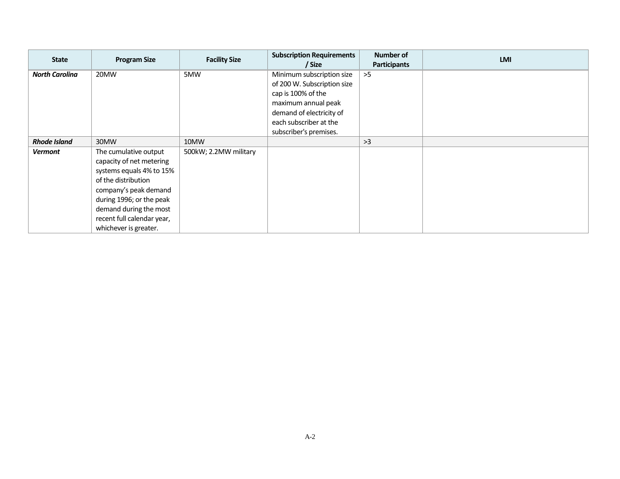| <b>State</b>          | <b>Program Size</b>        | <b>Facility Size</b>  | <b>Subscription Requirements</b><br>/ Size | Number of<br>Participants | <b>LMI</b> |
|-----------------------|----------------------------|-----------------------|--------------------------------------------|---------------------------|------------|
| <b>North Carolina</b> | 20MW                       | 5MW                   | Minimum subscription size                  | >5                        |            |
|                       |                            |                       | of 200 W. Subscription size                |                           |            |
|                       |                            |                       | cap is 100% of the                         |                           |            |
|                       |                            |                       | maximum annual peak                        |                           |            |
|                       |                            |                       | demand of electricity of                   |                           |            |
|                       |                            |                       | each subscriber at the                     |                           |            |
|                       |                            |                       | subscriber's premises.                     |                           |            |
| <b>Rhode Island</b>   | 30MW                       | 10MW                  |                                            | >3                        |            |
| <b>Vermont</b>        | The cumulative output      | 500kW; 2.2MW military |                                            |                           |            |
|                       | capacity of net metering   |                       |                                            |                           |            |
|                       | systems equals 4% to 15%   |                       |                                            |                           |            |
|                       | of the distribution        |                       |                                            |                           |            |
|                       | company's peak demand      |                       |                                            |                           |            |
|                       | during 1996; or the peak   |                       |                                            |                           |            |
|                       | demand during the most     |                       |                                            |                           |            |
|                       | recent full calendar year, |                       |                                            |                           |            |
|                       | whichever is greater.      |                       |                                            |                           |            |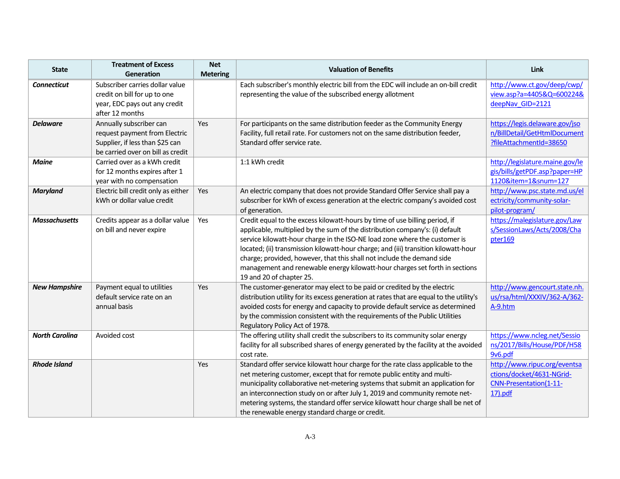| <b>State</b>          | <b>Treatment of Excess</b><br>Generation                                                                                         | <b>Net</b><br><b>Metering</b> | <b>Valuation of Benefits</b>                                                                                                                                                                                                                                                                                                                                                                                                                                                                                          | Link                                                                                              |
|-----------------------|----------------------------------------------------------------------------------------------------------------------------------|-------------------------------|-----------------------------------------------------------------------------------------------------------------------------------------------------------------------------------------------------------------------------------------------------------------------------------------------------------------------------------------------------------------------------------------------------------------------------------------------------------------------------------------------------------------------|---------------------------------------------------------------------------------------------------|
| <b>Connecticut</b>    | Subscriber carries dollar value<br>credit on bill for up to one<br>year, EDC pays out any credit<br>after 12 months              |                               | Each subscriber's monthly electric bill from the EDC will include an on-bill credit<br>representing the value of the subscribed energy allotment                                                                                                                                                                                                                                                                                                                                                                      | http://www.ct.gov/deep/cwp/<br>view.asp?a=4405&Q=600224&<br>deepNav GID=2121                      |
| <b>Delaware</b>       | Annually subscriber can<br>request payment from Electric<br>Supplier, if less than \$25 can<br>be carried over on bill as credit | Yes                           | For participants on the same distribution feeder as the Community Energy<br>Facility, full retail rate. For customers not on the same distribution feeder,<br>Standard offer service rate.                                                                                                                                                                                                                                                                                                                            | https://legis.delaware.gov/jso<br>n/BillDetail/GetHtmlDocument<br>?fileAttachmentId=38650         |
| <b>Maine</b>          | Carried over as a kWh credit<br>for 12 months expires after 1<br>year with no compensation                                       |                               | 1:1 kWh credit                                                                                                                                                                                                                                                                                                                                                                                                                                                                                                        | http://legislature.maine.gov/le<br>gis/bills/getPDF.asp?paper=HP<br>1120&item=1&snum=127          |
| <b>Maryland</b>       | Electric bill credit only as either<br>kWh or dollar value credit                                                                | Yes                           | An electric company that does not provide Standard Offer Service shall pay a<br>subscriber for kWh of excess generation at the electric company's avoided cost<br>of generation.                                                                                                                                                                                                                                                                                                                                      | http://www.psc.state.md.us/el<br>ectricity/community-solar-<br>pilot-program/                     |
| <b>Massachusetts</b>  | Credits appear as a dollar value<br>on bill and never expire                                                                     | Yes                           | Credit equal to the excess kilowatt-hours by time of use billing period, if<br>applicable, multiplied by the sum of the distribution company's: (i) default<br>service kilowatt-hour charge in the ISO-NE load zone where the customer is<br>located; (ii) transmission kilowatt-hour charge; and (iii) transition kilowatt-hour<br>charge; provided, however, that this shall not include the demand side<br>management and renewable energy kilowatt-hour charges set forth in sections<br>19 and 20 of chapter 25. | https://malegislature.gov/Law<br>s/SessionLaws/Acts/2008/Cha<br>pter169                           |
| <b>New Hampshire</b>  | Payment equal to utilities<br>default service rate on an<br>annual basis                                                         | Yes                           | The customer-generator may elect to be paid or credited by the electric<br>distribution utility for its excess generation at rates that are equal to the utility's<br>avoided costs for energy and capacity to provide default service as determined<br>by the commission consistent with the requirements of the Public Utilities<br>Regulatory Policy Act of 1978.                                                                                                                                                  | http://www.gencourt.state.nh.<br>us/rsa/html/XXXIV/362-A/362-<br>A-9.htm                          |
| <b>North Carolina</b> | Avoided cost                                                                                                                     |                               | The offering utility shall credit the subscribers to its community solar energy<br>facility for all subscribed shares of energy generated by the facility at the avoided<br>cost rate.                                                                                                                                                                                                                                                                                                                                | https://www.ncleg.net/Sessio<br>ns/2017/Bills/House/PDF/H58<br>9v6.pdf                            |
| <b>Rhode Island</b>   |                                                                                                                                  | Yes                           | Standard offer service kilowatt hour charge for the rate class applicable to the<br>net metering customer, except that for remote public entity and multi-<br>municipality collaborative net-metering systems that submit an application for<br>an interconnection study on or after July 1, 2019 and community remote net-<br>metering systems, the standard offer service kilowatt hour charge shall be net of<br>the renewable energy standard charge or credit.                                                   | http://www.ripuc.org/eventsa<br>ctions/docket/4631-NGrid-<br>CNN-Presentation(1-11-<br>$17)$ .pdf |